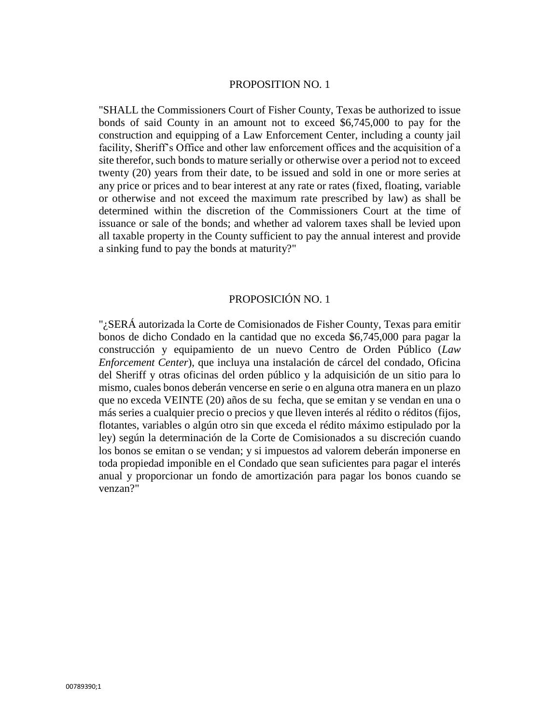#### PROPOSITION NO. 1

"SHALL the Commissioners Court of Fisher County, Texas be authorized to issue bonds of said County in an amount not to exceed \$6,745,000 to pay for the construction and equipping of a Law Enforcement Center, including a county jail facility, Sheriff's Office and other law enforcement offices and the acquisition of a site therefor, such bonds to mature serially or otherwise over a period not to exceed twenty (20) years from their date, to be issued and sold in one or more series at any price or prices and to bear interest at any rate or rates (fixed, floating, variable or otherwise and not exceed the maximum rate prescribed by law) as shall be determined within the discretion of the Commissioners Court at the time of issuance or sale of the bonds; and whether ad valorem taxes shall be levied upon all taxable property in the County sufficient to pay the annual interest and provide a sinking fund to pay the bonds at maturity?"

#### PROPOSICIÓN NO. 1

"¿SERÁ autorizada la Corte de Comisionados de Fisher County, Texas para emitir bonos de dicho Condado en la cantidad que no exceda \$6,745,000 para pagar la construcción y equipamiento de un nuevo Centro de Orden Público (*Law Enforcement Center*), que incluya una instalación de cárcel del condado, Oficina del Sheriff y otras oficinas del orden público y la adquisición de un sitio para lo mismo, cuales bonos deberán vencerse en serie o en alguna otra manera en un plazo que no exceda VEINTE (20) años de su fecha, que se emitan y se vendan en una o más series a cualquier precio o precios y que lleven interés al rédito o réditos (fijos, flotantes, variables o algún otro sin que exceda el rédito máximo estipulado por la ley) según la determinación de la Corte de Comisionados a su discreción cuando los bonos se emitan o se vendan; y si impuestos ad valorem deberán imponerse en toda propiedad imponible en el Condado que sean suficientes para pagar el interés anual y proporcionar un fondo de amortización para pagar los bonos cuando se venzan?"